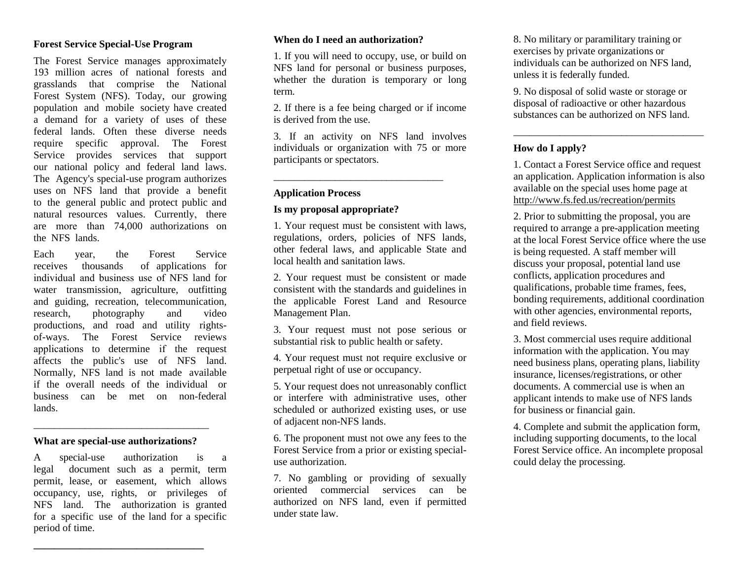#### **Forest Service Special-Use Program**

The Forest Service manages approximately 193 million acres of national forests and grasslands that comprise the National Forest System (NFS). Today, our growing population and mobile society have created a demand for a variety of uses of these federal lands. Often these diverse needs require specific approval. The Forest Service provides services that support our national policy and federal land laws. The Agency's special-use program authorizes uses on NFS land that provide a benefit to the general public and protect public and natural resources values. Currently, there are more than 74,000 authorizations on the NFS lands.

Each year, the Forest Service receives thousands of applications for individual and business use of NFS land for water transmission, agriculture, outfitting and guiding, recreation, telecommunication, research, photography and video productions, and road and utility rightsof-ways. The Forest Service reviews applications to determine if the request affects the public's use of NFS land. Normally, NFS land is not made available if the overall needs of the individual or business can be met on non-federal lands.

#### **What are special-use authorizations?**

\_\_\_\_\_\_\_\_\_\_\_\_\_\_\_\_\_\_\_\_\_\_\_\_\_\_\_\_\_\_\_\_\_\_

A special-use authorization is a legal document such as a permit, term permit, lease, or easement, which allows occupancy, use, rights, or privileges of NFS land. The authorization is granted for a specific use of the land for a specific period of time.

**\_\_\_\_\_\_\_\_\_\_\_\_\_\_\_\_\_\_\_\_\_\_\_\_\_\_\_\_\_\_\_\_\_** 

#### **When do I need an authorization?**

1. If you will need to occupy, use, or build on NFS land for personal or business purposes, whether the duration is temporary or long term.

2. If there is a fee being charged or if income is derived from the use.

3. If an activity on NFS land involves individuals or organization with 75 or more participants or spectators.

\_\_\_\_\_\_\_\_\_\_\_\_\_\_\_\_\_\_\_\_\_\_\_\_\_\_\_\_\_\_\_\_\_

#### **Application Process**

#### **Is my proposal appropriate?**

1. Your request must be consistent with laws, regulations, orders, policies of NFS lands, other federal laws, and applicable State and local health and sanitation laws.

2. Your request must be consistent or made consistent with the standards and guidelines in the applicable Forest Land and Resource Management Plan.

3. Your request must not pose serious or substantial risk to public health or safety.

4. Your request must not require exclusive or perpetual right of use or occupancy.

5. Your request does not unreasonably conflict or interfere with administrative uses, other scheduled or authorized existing uses, or use of adjacent non-NFS lands.

6. The proponent must not owe any fees to the Forest Service from a prior or existing specialuse authorization.

7. No gambling or providing of sexually oriented commercial services can be authorized on NFS land, even if permitted under state law.

8. No military or paramilitary training or exercises by private organizations or individuals can be authorized on NFS land, unless it is federally funded.

9. No disposal of solid waste or storage or disposal of radioactive or other hazardous substances can be authorized on NFS land.

#### **How do I apply?**

1. Contact a Forest Service office and request an application. Application information is also available on the special uses home page at http://www.fs.fed.us/recreation/permits

\_\_\_\_\_\_\_\_\_\_\_\_\_\_\_\_\_\_\_\_\_\_\_\_\_\_\_\_\_\_\_\_\_\_\_\_\_

2. Prior to submitting the proposal, you are required to arrange a pre-application meeting at the local Forest Service office where the use is being requested. A staff member will discuss your proposal, potential land use conflicts, application procedures and qualifications, probable time frames, fees, bonding requirements, additional coordination with other agencies, environmental reports, and field reviews.

3. Most commercial uses require additional information with the application. You may need business plans, operating plans, liability insurance, licenses/registrations, or other documents. A commercial use is when an applicant intends to make use of NFS lands for business or financial gain.

4. Complete and submit the application form, including supporting documents, to the local Forest Service office. An incomplete proposal could delay the processing.